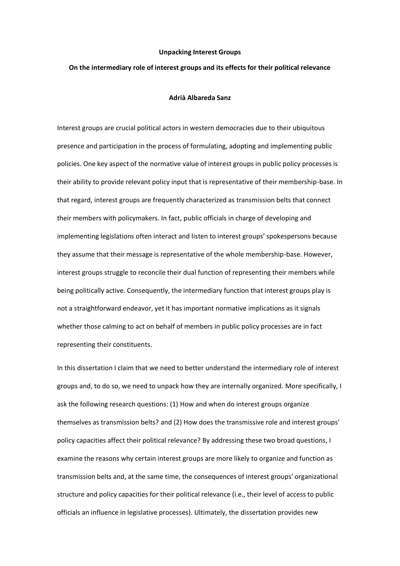## **Unpacking Interest Groups**

## **On the intermediary role of interest groups and its effects for their political relevance**

## **Adrià Albareda Sanz**

Interest groups are crucial political actors in western democracies due to their ubiquitous presence and participation in the process of formulating, adopting and implementing public policies. One key aspect of the normative value of interest groups in public policy processes is their ability to provide relevant policy input that is representative of their membership-base. In that regard, interest groups are frequently characterized as transmission belts that connect their members with policymakers. In fact, public officials in charge of developing and implementing legislations often interact and listen to interest groups' spokespersons because they assume that their message is representative of the whole membership-base. However, interest groups struggle to reconcile their dual function of representing their members while being politically active. Consequently, the intermediary function that interest groups play is not a straightforward endeavor, yet it has important normative implications as it signals whether those calming to act on behalf of members in public policy processes are in fact representing their constituents.

In this dissertation I claim that we need to better understand the intermediary role of interest groups and, to do so, we need to unpack how they are internally organized. More specifically, I ask the following research questions: (1) How and when do interest groups organize themselves as transmission belts? and (2) How does the transmissive role and interest groups' policy capacities affect their political relevance? By addressing these two broad questions, I examine the reasons why certain interest groups are more likely to organize and function as transmission belts and, at the same time, the consequences of interest groups' organizational structure and policy capacities for their political relevance (i.e., their level of access to public officials an influence in legislative processes). Ultimately, the dissertation provides new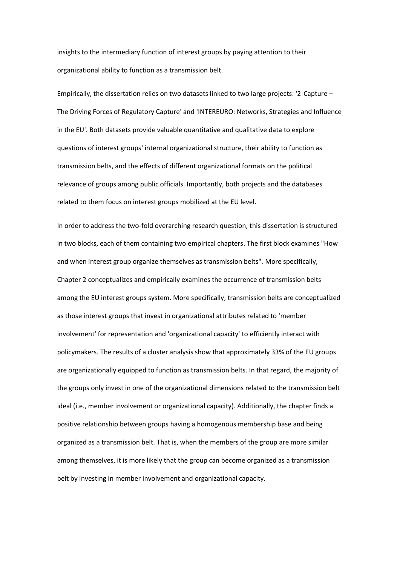insights to the intermediary function of interest groups by paying attention to their organizational ability to function as a transmission belt.

Empirically, the dissertation relies on two datasets linked to two large projects: '2-Capture – The Driving Forces of Regulatory Capture' and 'INTEREURO: Networks, Strategies and Influence in the EU'. Both datasets provide valuable quantitative and qualitative data to explore questions of interest groups' internal organizational structure, their ability to function as transmission belts, and the effects of different organizational formats on the political relevance of groups among public officials. Importantly, both projects and the databases related to them focus on interest groups mobilized at the EU level.

In order to address the two-fold overarching research question, this dissertation is structured in two blocks, each of them containing two empirical chapters. The first block examines "How and when interest group organize themselves as transmission belts". More specifically, Chapter 2 conceptualizes and empirically examines the occurrence of transmission belts among the EU interest groups system. More specifically, transmission belts are conceptualized as those interest groups that invest in organizational attributes related to 'member involvement' for representation and 'organizational capacity' to efficiently interact with policymakers. The results of a cluster analysis show that approximately 33% of the EU groups are organizationally equipped to function as transmission belts. In that regard, the majority of the groups only invest in one of the organizational dimensions related to the transmission belt ideal (i.e., member involvement or organizational capacity). Additionally, the chapter finds a positive relationship between groups having a homogenous membership base and being organized as a transmission belt. That is, when the members of the group are more similar among themselves, it is more likely that the group can become organized as a transmission belt by investing in member involvement and organizational capacity.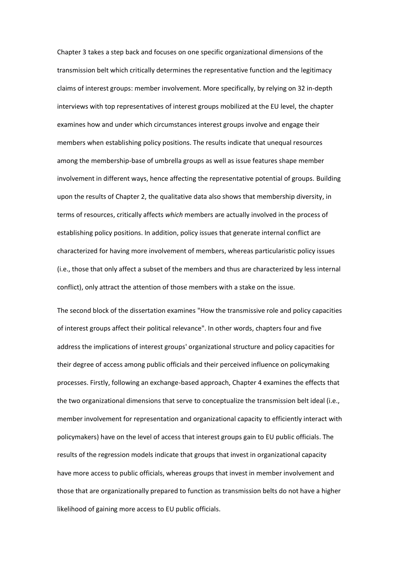Chapter 3 takes a step back and focuses on one specific organizational dimensions of the transmission belt which critically determines the representative function and the legitimacy claims of interest groups: member involvement. More specifically, by relying on 32 in-depth interviews with top representatives of interest groups mobilized at the EU level, the chapter examines how and under which circumstances interest groups involve and engage their members when establishing policy positions. The results indicate that unequal resources among the membership-base of umbrella groups as well as issue features shape member involvement in different ways, hence affecting the representative potential of groups. Building upon the results of Chapter 2, the qualitative data also shows that membership diversity, in terms of resources, critically affects *which* members are actually involved in the process of establishing policy positions. In addition, policy issues that generate internal conflict are characterized for having more involvement of members, whereas particularistic policy issues (i.e., those that only affect a subset of the members and thus are characterized by less internal conflict), only attract the attention of those members with a stake on the issue.

The second block of the dissertation examines "How the transmissive role and policy capacities of interest groups affect their political relevance". In other words, chapters four and five address the implications of interest groups' organizational structure and policy capacities for their degree of access among public officials and their perceived influence on policymaking processes. Firstly, following an exchange-based approach, Chapter 4 examines the effects that the two organizational dimensions that serve to conceptualize the transmission belt ideal (i.e., member involvement for representation and organizational capacity to efficiently interact with policymakers) have on the level of access that interest groups gain to EU public officials. The results of the regression models indicate that groups that invest in organizational capacity have more access to public officials, whereas groups that invest in member involvement and those that are organizationally prepared to function as transmission belts do not have a higher likelihood of gaining more access to EU public officials.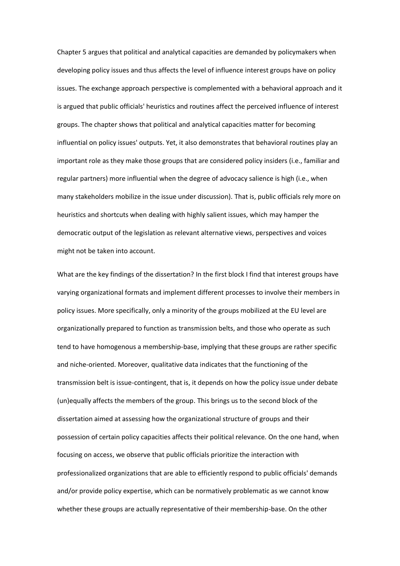Chapter 5 argues that political and analytical capacities are demanded by policymakers when developing policy issues and thus affects the level of influence interest groups have on policy issues. The exchange approach perspective is complemented with a behavioral approach and it is argued that public officials' heuristics and routines affect the perceived influence of interest groups. The chapter shows that political and analytical capacities matter for becoming influential on policy issues' outputs. Yet, it also demonstrates that behavioral routines play an important role as they make those groups that are considered policy insiders (i.e., familiar and regular partners) more influential when the degree of advocacy salience is high (i.e., when many stakeholders mobilize in the issue under discussion). That is, public officials rely more on heuristics and shortcuts when dealing with highly salient issues, which may hamper the democratic output of the legislation as relevant alternative views, perspectives and voices might not be taken into account.

What are the key findings of the dissertation? In the first block I find that interest groups have varying organizational formats and implement different processes to involve their members in policy issues. More specifically, only a minority of the groups mobilized at the EU level are organizationally prepared to function as transmission belts, and those who operate as such tend to have homogenous a membership-base, implying that these groups are rather specific and niche-oriented. Moreover, qualitative data indicates that the functioning of the transmission belt is issue-contingent, that is, it depends on how the policy issue under debate (un)equally affects the members of the group. This brings us to the second block of the dissertation aimed at assessing how the organizational structure of groups and their possession of certain policy capacities affects their political relevance. On the one hand, when focusing on access, we observe that public officials prioritize the interaction with professionalized organizations that are able to efficiently respond to public officials' demands and/or provide policy expertise, which can be normatively problematic as we cannot know whether these groups are actually representative of their membership-base. On the other